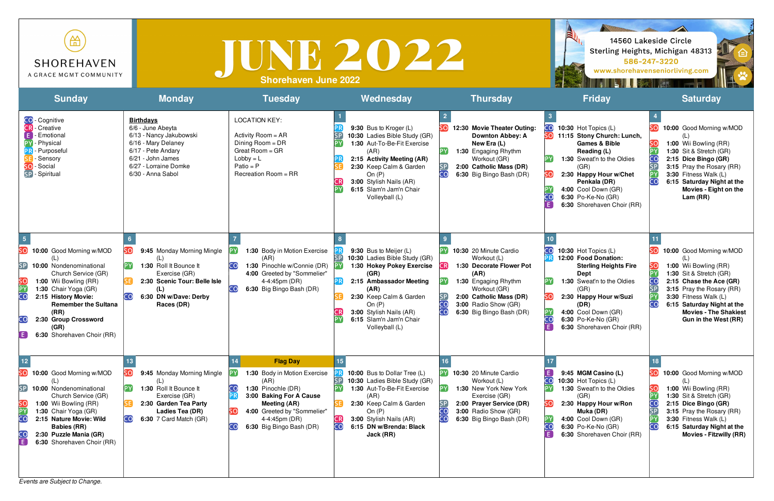| l n l<br><b>SHOREHAVEN</b><br>A GRACE MGMT COMMUNITY                                                                                                                                                                                                                                                                              |                                                                                                                                                                                  | <b>JUNE 2022</b><br><b>Shorehaven June 2022</b>                                                                                                                                                             | 14560 Lakeside Circle<br>Sterling Heights, Michigan 48313<br>586-247-3220<br>www.shorehavenseniorliving.com                                                                                                                                          |                                                                                                                                                                                                        |                                                                                                                                                                                                                                                                         |                                                                                                                                                                                                                                                                              |
|-----------------------------------------------------------------------------------------------------------------------------------------------------------------------------------------------------------------------------------------------------------------------------------------------------------------------------------|----------------------------------------------------------------------------------------------------------------------------------------------------------------------------------|-------------------------------------------------------------------------------------------------------------------------------------------------------------------------------------------------------------|------------------------------------------------------------------------------------------------------------------------------------------------------------------------------------------------------------------------------------------------------|--------------------------------------------------------------------------------------------------------------------------------------------------------------------------------------------------------|-------------------------------------------------------------------------------------------------------------------------------------------------------------------------------------------------------------------------------------------------------------------------|------------------------------------------------------------------------------------------------------------------------------------------------------------------------------------------------------------------------------------------------------------------------------|
| <b>Sunday</b>                                                                                                                                                                                                                                                                                                                     | <b>Monday</b>                                                                                                                                                                    | <b>Tuesday</b>                                                                                                                                                                                              | Wednesday                                                                                                                                                                                                                                            | <b>Thursday</b>                                                                                                                                                                                        | <b>Friday</b>                                                                                                                                                                                                                                                           | <b>Saturday</b>                                                                                                                                                                                                                                                              |
| CO-Cognitive<br><b>R</b> - Creative<br>- Emotional<br>PY - Physical<br><b>PR</b> - Purposeful<br>- Sensory<br>- Social<br>sol<br>SP - Spiritual                                                                                                                                                                                   | <b>Birthdays</b><br>6/6 - June Abeyta<br>6/13 - Nancy Jakubowski<br>6/16 - Mary Delaney<br>6/17 - Pete Andary<br>6/21 - John James<br>6/27 - Lorraine Domke<br>6/30 - Anna Sabol | <b>LOCATION KEY:</b><br>Activity Room = AR<br>Dining $Room = DR$<br>Great Room = GR<br>$Lobby = L$<br>$Patio = P$<br>Recreation Room = RR                                                                   | 9:30 Bus to Kroger (L)<br>10:30 Ladies Bible Study (GR)<br>1:30 Aut-To-Be-Fit Exercise<br>(AR)<br>2:15 Activity Meeting (AR)<br>2:30 Keep Calm & Garden<br>On $(P)$<br>3:00 Stylish Nails (AR)<br>6:15 Slam'n Jam'n Chair<br>Volleyball (L)          | sol<br>12:30 Movie Theater Outing:<br><b>Downton Abbey: A</b><br>New Era (L)<br> PY <br>1:30 Engaging Rhythm<br>Workout (GR)<br>SP<br>CO<br>2:00 Catholic Mass (DR)<br>6:30 Big Bingo Bash (DR)        | 10:30 Hot Topics $(L)$<br>11:15 Stony Church: Lunch,<br><b>Games &amp; Bible</b><br>Reading (L)<br>1:30 Sweat'n to the Oldies<br>(GR)<br>2:30 Happy Hour w/Chet<br>Penkala (DR)<br>4:00 Cool Down (GR)<br>cc<br>6:30 Po-Ke-No (GR)<br>ſE.<br>6:30 Shorehaven Choir (RR) | 10:00 Good Morning w/MOD<br>1:00 Wii Bowling (RR)<br>SO<br>1:30 Sit & Stretch (GR)<br>CO<br>2:15 Dice Bingo (GR)<br><b>SP</b><br>3:15 Pray the Rosary (RR)<br>3:30 Fitness Walk (L)<br>CO.<br>6:15 Saturday Night at the<br>Movies - Eight on the<br>Lam(RR)                 |
| $5\phantom{.0}$<br>SO.<br>10:00 Good Morning w/MOD<br>(L)<br>SP<br>10:00 Nondenominational<br>Church Service (GR)<br>SO<br>1:00 Wii Bowling (RR)<br><b>PYCO</b><br>1:30 Chair Yoga (GR)<br>2:15 History Movie:<br><b>Remember the Sultana</b><br>(RR)<br>CO<br>2:30 Group Crossword<br>(GR)<br>E.<br>6:30 Shorehaven Choir (RR)   | 9:45 Monday Morning Mingle<br>1:30 Roll It Bounce It<br>Exercise (GR)<br>2:30 Scenic Tour: Belle Isle<br>(L)<br>6:30 DN w/Dave: Derby<br>Races (DR)                              | 1:30 Body in Motion Exercise<br>(AR)<br>1:30 Pinochle w/Connie (DR)<br>4:00 Greeted by "Sommelier"<br>4-4:45pm (DR)<br>6:30 Big Bingo Bash (DR)                                                             | 9:30 Bus to Meijer (L)<br>SP<br>10:30 Ladies Bible Study (GR)<br>1:30 Hokey Pokey Exercise<br>(GR)<br>2:15 Ambassador Meeting<br>(AR)<br>2:30 Keep Calm & Garden<br>On $(P)$<br>3:00 Stylish Nails (AR)<br>6:15 Slam'n Jam'n Chair<br>Volleyball (L) | 10:30 20 Minute Cardio<br>Workout (L)<br>1:30 Decorate Flower Pot<br>(AR)<br>1:30 Engaging Rhythm<br>Workout (GR)<br>2:00 Catholic Mass (DR)<br>3:00 Radio Show (GR)<br>CO<br>6:30 Big Bingo Bash (DR) | 10<br>10:30 Hot Topics $(L)$<br>12:00 Food Donation:<br><b>Sterling Heights Fire</b><br><b>Dept</b><br>1:30 Sweat'n to the Oldies<br>(GR)<br>2:30 Happy Hour w/Suzi<br>(DR)<br>4:00 Cool Down (GR)<br>CC<br>6:30 Po-Ke-No (GR)<br>Í E<br>6:30 Shorehaven Choir (RR)     | 10:00 Good Morning w/MOD<br>(L<br>1:00 Wii Bowling (RR)<br>1:30 Sit & Stretch (GR)<br>CO<br>2:15 Chase the Ace (GR)<br>SP<br>3:15 Pray the Rosary (RR)<br>3:30 Fitness Walk (L)<br>6:15 Saturday Night at the<br><b>Movies - The Shakiest</b><br><b>Gun in the West (RR)</b> |
| 12 <sub>2</sub><br>SO]<br>10:00 Good Morning w/MOD<br>(L)<br>[SP]<br>10:00 Nondenominational<br>Church Service (GR)<br>SΟ<br>1:00 Wii Bowling (RR)<br><b>PYCO</b><br>1:30 Chair Yoga (GR)<br>2:15 Nature Movie: Wild<br><b>Babies (RR)</b><br>$\overline{\text{CO}}$<br>2:30 Puzzle Mania (GR)<br>Œ<br>6:30 Shorehaven Choir (RR) | 9:45 Monday Morning Mingle<br>(L)<br>1:30 Roll It Bounce It<br>Exercise (GR)<br>2:30 Garden Tea Party<br>Ladies Tea (DR)<br>6:30 7 Card Match (GR)<br>CO <sub>.</sub>            | <b>Flag Day</b><br>1:30 Body in Motion Exercise<br>(AR)<br>1:30 Pinochle (DR)<br>3:00 Baking For A Cause<br><b>Meeting (AR)</b><br>4:00 Greeted by "Sommelier"<br>4-4:45pm (DR)<br>6:30 Big Bingo Bash (DR) | 10:00 Bus to Dollar Tree (L)<br>[SP]<br>10:30 Ladies Bible Study (GR)<br>1:30 Aut-To-Be-Fit Exercise<br>(AR)<br>2:30 Keep Calm & Garden<br>On $(P)$<br>CR<br>3:00 Stylish Nails (AR)<br>CO<br>6:15 DN w/Brenda: Black<br>Jack (RR)                   | 10:30 20 Minute Cardio<br>Workout (L)<br>1:30 New York New York<br>Exercise (GR)<br>2:00 Prayer Service (DR)<br>CO<br>3:00 Radio Show (GR)<br>CO<br>6:30 Big Bingo Bash (DR)                           | 9:45 MGM Casino (L)<br>$\overline{\mathsf{C}}$<br>10:30 Hot Topics $(L)$<br>1:30 Sweat'n to the Oldies<br>(GR)<br>2:30 Happy Hour w/Ron<br>Muka (DR)<br>4:00 Cool Down (GR)<br>CO<br>6:30 Po-Ke-No (GR)<br>ſE.<br>6:30 Shorehaven Choir (RR)                            | 10:00 Good Morning w/MOD<br>1:00 Wii Bowling (RR)<br>SOJ<br>1:30 Sit & Stretch (GR)<br><b>CO</b><br>2:15 Dice Bingo (GR)<br>3:15 Pray the Rosary (RR)<br>3:30 Fitness Walk (L)<br>CO<br>6:15 Saturday Night at the<br><b>Movies - Fitzwilly (RR)</b>                         |